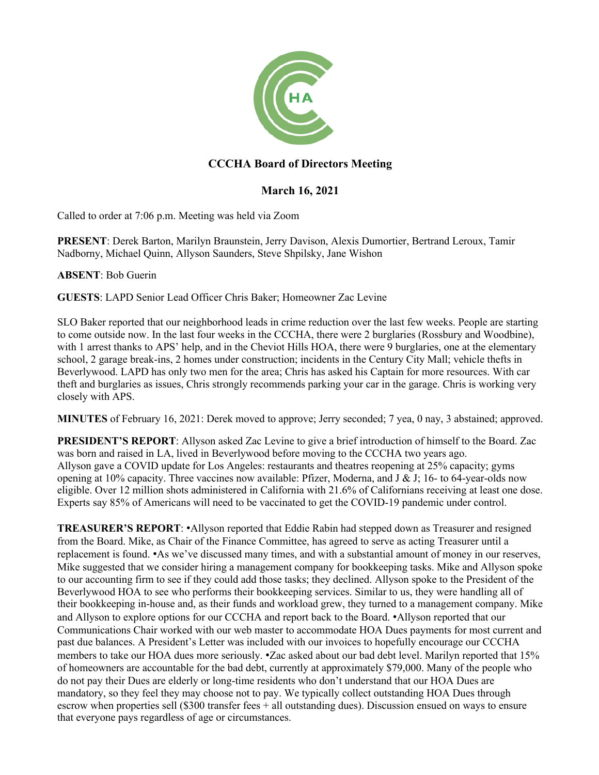

## **CCCHA Board of Directors Meeting**

## **March 16, 2021**

Called to order at 7:06 p.m. Meeting was held via Zoom

**PRESENT**: Derek Barton, Marilyn Braunstein, Jerry Davison, Alexis Dumortier, Bertrand Leroux, Tamir Nadborny, Michael Quinn, Allyson Saunders, Steve Shpilsky, Jane Wishon

**ABSENT**: Bob Guerin

**GUESTS**: LAPD Senior Lead Officer Chris Baker; Homeowner Zac Levine

SLO Baker reported that our neighborhood leads in crime reduction over the last few weeks. People are starting to come outside now. In the last four weeks in the CCCHA, there were 2 burglaries (Rossbury and Woodbine), with 1 arrest thanks to APS' help, and in the Cheviot Hills HOA, there were 9 burglaries, one at the elementary school, 2 garage break-ins, 2 homes under construction; incidents in the Century City Mall; vehicle thefts in Beverlywood. LAPD has only two men for the area; Chris has asked his Captain for more resources. With car theft and burglaries as issues, Chris strongly recommends parking your car in the garage. Chris is working very closely with APS.

**MINUTES** of February 16, 2021: Derek moved to approve; Jerry seconded; 7 yea, 0 nay, 3 abstained; approved.

**PRESIDENT'S REPORT**: Allyson asked Zac Levine to give a brief introduction of himself to the Board. Zac was born and raised in LA, lived in Beverlywood before moving to the CCCHA two years ago. Allyson gave a COVID update for Los Angeles: restaurants and theatres reopening at 25% capacity; gyms opening at 10% capacity. Three vaccines now available: Pfizer, Moderna, and  $J \& J$ ; 16- to 64-year-olds now eligible. Over 12 million shots administered in California with 21.6% of Californians receiving at least one dose. Experts say 85% of Americans will need to be vaccinated to get the COVID-19 pandemic under control.

**TREASURER'S REPORT**: •Allyson reported that Eddie Rabin had stepped down as Treasurer and resigned from the Board. Mike, as Chair of the Finance Committee, has agreed to serve as acting Treasurer until a replacement is found. •As we've discussed many times, and with a substantial amount of money in our reserves, Mike suggested that we consider hiring a management company for bookkeeping tasks. Mike and Allyson spoke to our accounting firm to see if they could add those tasks; they declined. Allyson spoke to the President of the Beverlywood HOA to see who performs their bookkeeping services. Similar to us, they were handling all of their bookkeeping in-house and, as their funds and workload grew, they turned to a management company. Mike and Allyson to explore options for our CCCHA and report back to the Board. •Allyson reported that our Communications Chair worked with our web master to accommodate HOA Dues payments for most current and past due balances. A President's Letter was included with our invoices to hopefully encourage our CCCHA members to take our HOA dues more seriously. •Zac asked about our bad debt level. Marilyn reported that 15% of homeowners are accountable for the bad debt, currently at approximately \$79,000. Many of the people who do not pay their Dues are elderly or long-time residents who don't understand that our HOA Dues are mandatory, so they feel they may choose not to pay. We typically collect outstanding HOA Dues through escrow when properties sell (\$300 transfer fees + all outstanding dues). Discussion ensued on ways to ensure that everyone pays regardless of age or circumstances.